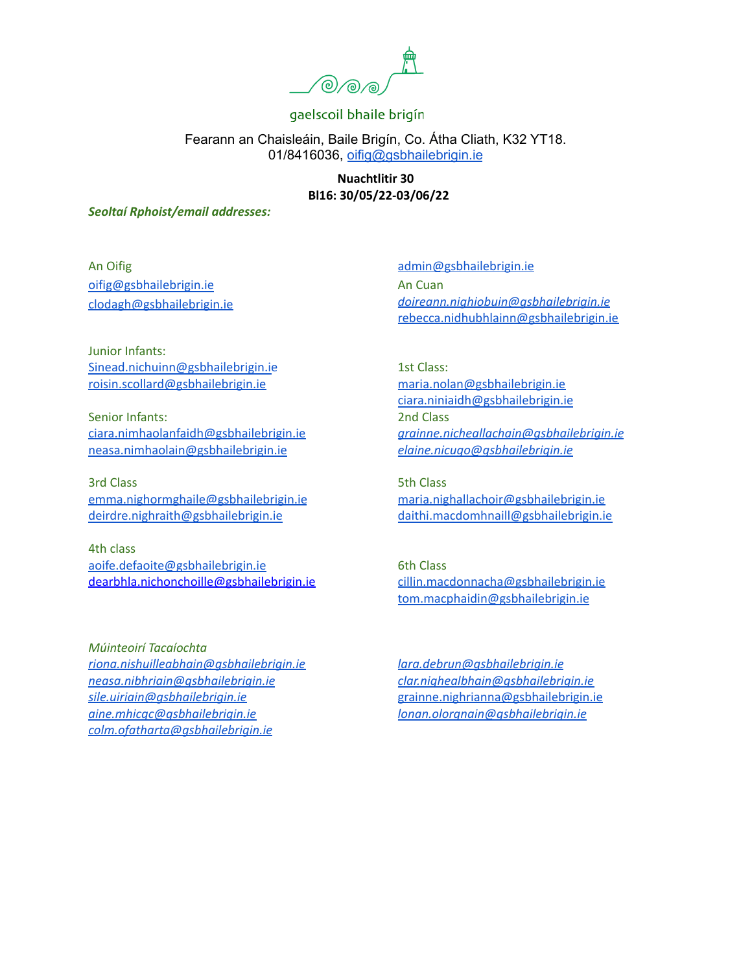

Fearann an Chaisleáin, Baile Brigín, Co. Átha Cliath, K32 YT18. 01/8416036, [oifig@gsbhailebrigin.ie](mailto:oifig@gsbhailebrigin.ie)

> **Nuachtlitir 30 Bl16: 30/05/22-03/06/22**

*Seoltaí Rphoist/email addresses:*

An Oifig [oifig@gsbhailebrigin.ie](mailto:oifig@gsbhailebrigin.ie) [clodagh@gsbhailebrigin.ie](mailto:clodagh@gsbhailebrigin.ie)

[admin@gsbhailebrigin.ie](mailto:admin@gsbhailebrigin.ie) An Cuan *[doireann.nighiobuin@gsbhailebrigin.ie](mailto:doireann.nighiobuin@gsbhailebrigin.ie)* [rebecca.nidhubhlainn@gsbhailebrigin.ie](mailto:rebecca.nidhubhlainn@gsbhailebrigin.ie)

Junior Infants: [Sinead.nichuinn@gsbhailebrigin.ie](mailto:Sinead.nichuinn@gsbhailebrigin.ie) [roisin.scollard@gsbhailebrigin.ie](mailto:roisin.scollard@gsbhailebrigin.ie)

Senior Infants: [ciara.nimhaolanfaidh@gsbhailebrigin.ie](mailto:ciara.nimhaolanfaidh@gsbhailebrigin.ie) [neasa.nimhaolain@gsbhailebrigin.ie](mailto:neasa.nimhaolain@gsbhailebrigin.ie)

3rd Class [emma.nighormghaile@gsbhailebrigin.ie](mailto:emma.nighormghaile@gsbhailebrigin.ie) [deirdre.nighraith@gsbhailebrigin.ie](mailto:deirdre.nighraith@gsbhailebrigin.ie)

4th class [aoife.defaoite@gsbhailebrigin.ie](mailto:aoife.defaoite@gsbhailebrigin.ie) dearbhla.nichonchoille@gsbhailebrigin.ie

*Múinteoirí Tacaíochta [riona.nishuilleabhain@gsbhailebrigin.ie](mailto:riona.nishuilleabhain@gsbhailebrigin.ie) [neasa.nibhriain@gsbhailebrigin.ie](mailto:neasa.nibhriain@gsbhailebrigin.ie) [sile.uiriain@gsbhailebrigin.ie](mailto:sile.uiriain@gsbhailebrigin.ie) [aine.mhicgc@gsbhailebrigin.ie](mailto:aine.mhicgc@gsbhailebrigin.ie) [colm.ofatharta@gsbhailebrigin.ie](mailto:colm.ofatharta@gsbhailebrigin.ie)*

1st Class: [maria.nolan@gsbhailebrigin.ie](mailto:maria.nolan@gsbhailebrigin.ie) [ciara.niniaidh@gsbhailebrigin.ie](mailto:ciara.niniaidh@gsbhailebrigin.ie) 2nd Class *[grainne.nicheallachain@gsbhailebrigin.ie](mailto:grainne.nicheallachain@gsbhailebrigin.ie) [elaine.nicugo@gsbhailebrigin.ie](mailto:elaine.nicugo@gsbhailebrigin.ie)*

5th Class [maria.nighallachoir@gsbhailebrigin.ie](mailto:maria.nighallachoir@gsbhailebrigin.ie) [daithi.macdomhnaill@gsbhailebrigin.ie](mailto:daithi.macdomhnaill@gsbhailebrigin.ie)

6th Class [cillin.macdonnacha@gsbhailebrigin.ie](mailto:cillin.macdonnacha@gsbhailebrigin.ie) [tom.macphaidin@gsbhailebrigin.ie](mailto:tom.macphaidin@gsbhailebrigin.ie)

*[lara.debrun@gsbhailebrigin.ie](mailto:lara.debrun@gsbhailebrigin.ie) [clar.nighealbhain@gsbhailebrigin.ie](mailto:clar.nighealbhain@gsbhailebrigin.ie)* [grainne.nighrianna@gsbhailebrigin.ie](mailto:grainne.nighrianna@gsbhailebrigin.ie) *[lonan.olorgnain@gsbhailebrigin.ie](mailto:lonan.olorgnain@gsbhailebrigin.ie)*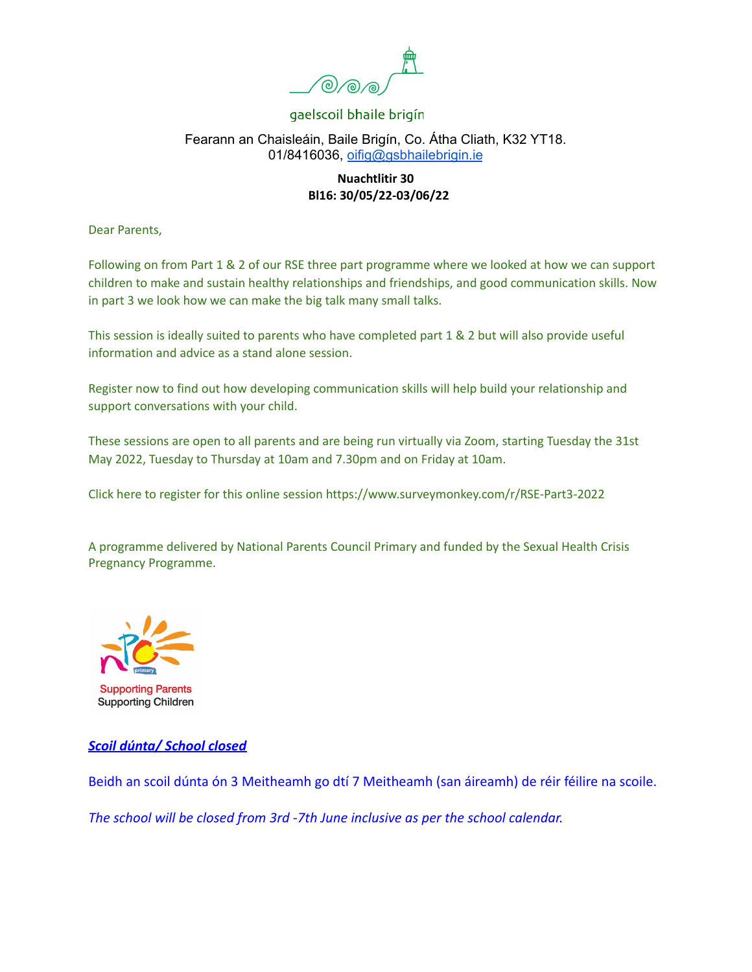

## Fearann an Chaisleáin, Baile Brigín, Co. Átha Cliath, K32 YT18. 01/8416036, [oifig@gsbhailebrigin.ie](mailto:oifig@gsbhailebrigin.ie)

## **Nuachtlitir 30 Bl16: 30/05/22-03/06/22**

Dear Parents,

Following on from Part 1 & 2 of our RSE three part programme where we looked at how we can support children to make and sustain healthy relationships and friendships, and good communication skills. Now in part 3 we look how we can make the big talk many small talks.

This session is ideally suited to parents who have completed part 1 & 2 but will also provide useful information and advice as a stand alone session.

Register now to find out how developing communication skills will help build your relationship and support conversations with your child.

These sessions are open to all parents and are being run virtually via Zoom, starting Tuesday the 31st May 2022, Tuesday to Thursday at 10am and 7.30pm and on Friday at 10am.

Click here to register for this online session <https://www.surveymonkey.com/r/RSE-Part3-2022>

A programme delivered by National Parents Council Primary and funded by the Sexual Health Crisis Pregnancy Programme.



## *Scoil dúnta/ School closed*

Beidh an scoil dúnta ón 3 Meitheamh go dtí 7 Meitheamh (san áireamh) de réir féilire na scoile.

*The school will be closed from 3rd -7th June inclusive as per the school calendar.*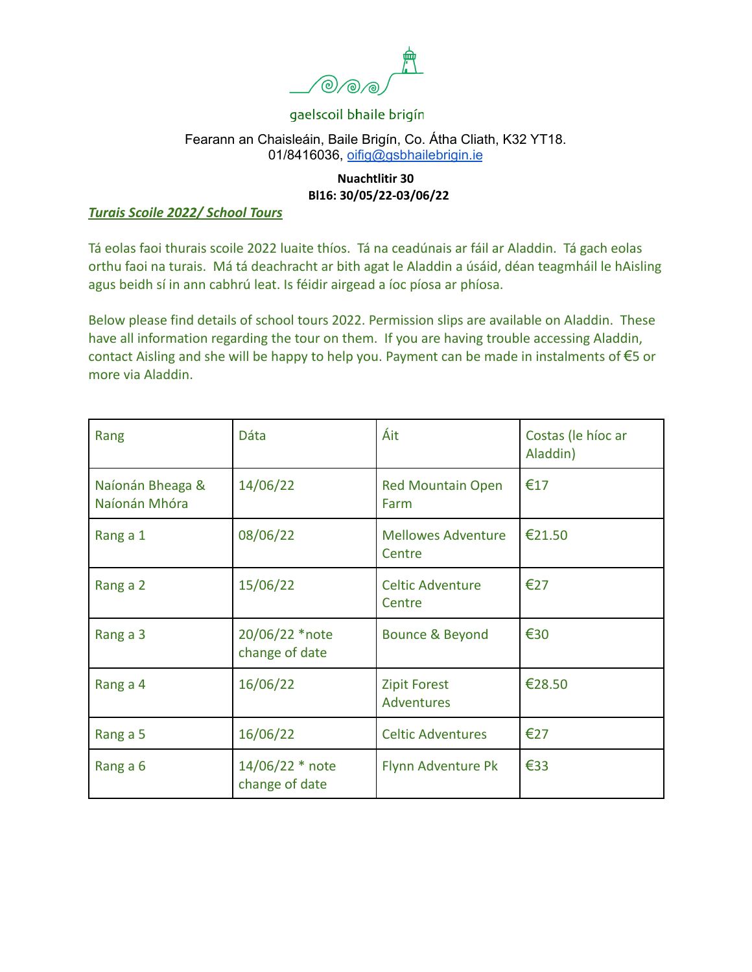

#### Fearann an Chaisleáin, Baile Brigín, Co. Átha Cliath, K32 YT18. 01/8416036, [oifig@gsbhailebrigin.ie](mailto:oifig@gsbhailebrigin.ie)

## **Nuachtlitir 30 Bl16: 30/05/22-03/06/22**

#### *Turais Scoile 2022/ School Tours*

Tá eolas faoi thurais scoile 2022 luaite thíos. Tá na ceadúnais ar fáil ar Aladdin. Tá gach eolas orthu faoi na turais. Má tá deachracht ar bith agat le Aladdin a úsáid, déan teagmháil le hAisling agus beidh sí in ann cabhrú leat. Is féidir airgead a íoc píosa ar phíosa.

Below please find details of school tours 2022. Permission slips are available on Aladdin. These have all information regarding the tour on them. If you are having trouble accessing Aladdin, contact Aisling and she will be happy to help you. Payment can be made in instalments of €5 or more via Aladdin.

| Rang                              | <b>Dáta</b>                       | Áit                                      | Costas (le híoc ar<br>Aladdin) |
|-----------------------------------|-----------------------------------|------------------------------------------|--------------------------------|
| Naíonán Bheaga &<br>Naíonán Mhóra | 14/06/22                          | <b>Red Mountain Open</b><br>Farm         | €17                            |
| Rang a 1                          | 08/06/22                          | <b>Mellowes Adventure</b><br>Centre      | €21.50                         |
| Rang a 2                          | 15/06/22                          | <b>Celtic Adventure</b><br>Centre        | €27                            |
| Rang a 3                          | 20/06/22 *note<br>change of date  | Bounce & Beyond                          | €30                            |
| Rang a 4                          | 16/06/22                          | <b>Zipit Forest</b><br><b>Adventures</b> | €28.50                         |
| Rang a 5                          | 16/06/22                          | <b>Celtic Adventures</b>                 | €27                            |
| Rang a 6                          | 14/06/22 * note<br>change of date | Flynn Adventure Pk                       | €33                            |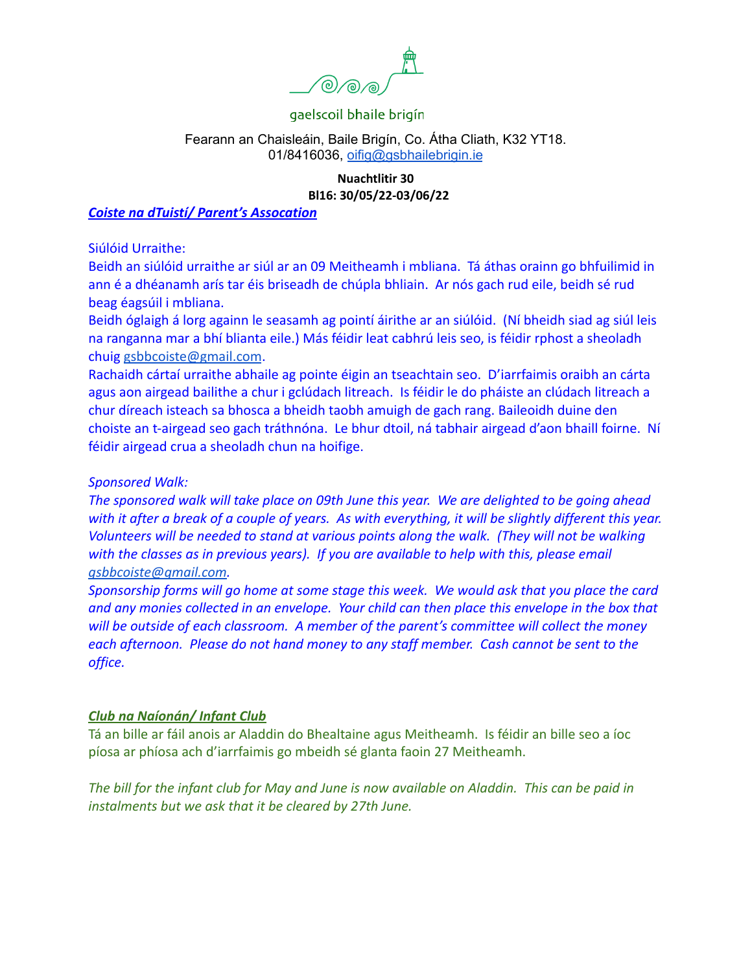

#### Fearann an Chaisleáin, Baile Brigín, Co. Átha Cliath, K32 YT18. 01/8416036, [oifig@gsbhailebrigin.ie](mailto:oifig@gsbhailebrigin.ie)

## **Nuachtlitir 30 Bl16: 30/05/22-03/06/22**

#### *Coiste na dTuistí/ Parent's Assocation*

Siúlóid Urraithe:

Beidh an siúlóid urraithe ar siúl ar an 09 Meitheamh i mbliana. Tá áthas orainn go bhfuilimid in ann é a dhéanamh arís tar éis briseadh de chúpla bhliain. Ar nós gach rud eile, beidh sé rud beag éagsúil i mbliana.

Beidh óglaigh á lorg againn le seasamh ag pointí áirithe ar an siúlóid. (Ní bheidh siad ag siúl leis na ranganna mar a bhí blianta eile.) Más féidir leat cabhrú leis seo, is féidir rphost a sheoladh chuig [gsbbcoiste@gmail.com](mailto:gsbbcoiste@gmail.com).

Rachaidh cártaí urraithe abhaile ag pointe éigin an tseachtain seo. D'iarrfaimis oraibh an cárta agus aon airgead bailithe a chur i gclúdach litreach. Is féidir le do pháiste an clúdach litreach a chur díreach isteach sa bhosca a bheidh taobh amuigh de gach rang. Baileoidh duine den choiste an t-airgead seo gach tráthnóna. Le bhur dtoil, ná tabhair airgead d'aon bhaill foirne. Ní féidir airgead crua a sheoladh chun na hoifige.

#### *Sponsored Walk:*

*The sponsored walk will take place on 09th June this year. We are delighted to be going ahead with it after a break of a couple of years. As with everything, it will be slightly different this year. Volunteers will be needed to stand at various points along the walk. (They will not be walking with the classes as in previous years). If you are available to help with this, please email [gsbbcoiste@gmail.com.](mailto:gsbbcoiste@gmail.com)*

*Sponsorship forms will go home at some stage this week. We would ask that you place the card and any monies collected in an envelope. Your child can then place this envelope in the box that will be outside of each classroom. A member of the parent's committee will collect the money each afternoon. Please do not hand money to any staff member. Cash cannot be sent to the office.*

## *Club na Naíonán/ Infant Club*

Tá an bille ar fáil anois ar Aladdin do Bhealtaine agus Meitheamh. Is féidir an bille seo a íoc píosa ar phíosa ach d'iarrfaimis go mbeidh sé glanta faoin 27 Meitheamh.

*The bill for the infant club for May and June is now available on Aladdin. This can be paid in instalments but we ask that it be cleared by 27th June.*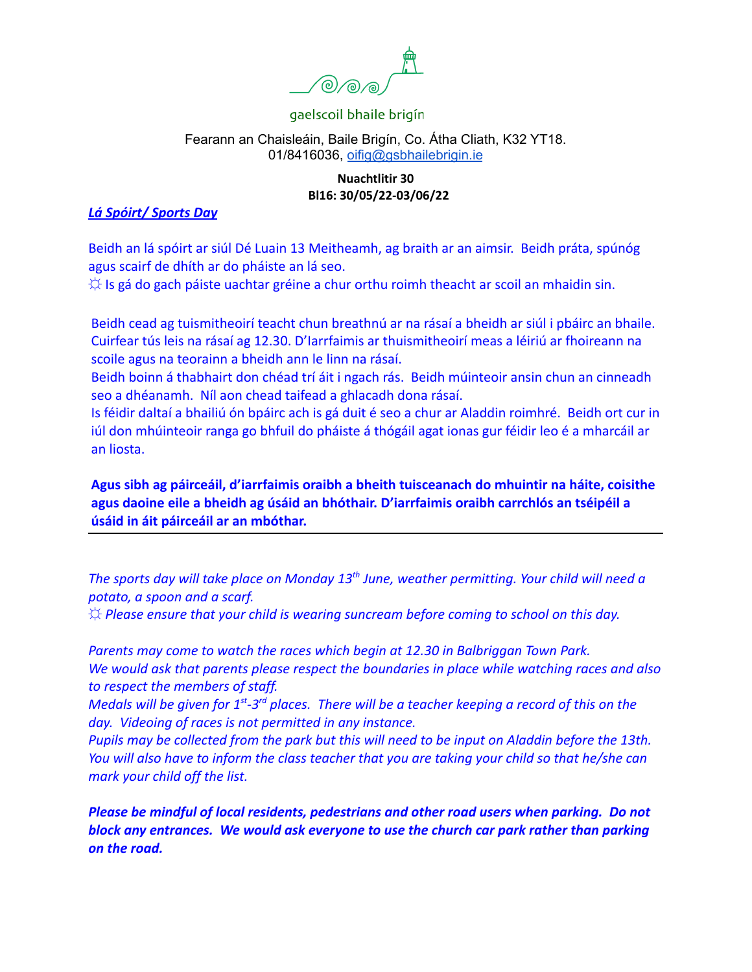

#### Fearann an Chaisleáin, Baile Brigín, Co. Átha Cliath, K32 YT18. 01/8416036, [oifig@gsbhailebrigin.ie](mailto:oifig@gsbhailebrigin.ie)

#### **Nuachtlitir 30 Bl16: 30/05/22-03/06/22**

## *Lá Spóirt/ Sports Day*

Beidh an lá spóirt ar siúl Dé Luain 13 Meitheamh, ag braith ar an aimsir. Beidh práta, spúnóg agus scairf de dhíth ar do pháiste an lá seo.

 $\Diamond$  Is gá do gach páiste uachtar gréine a chur orthu roimh theacht ar scoil an mhaidin sin.

Beidh cead ag tuismitheoirí teacht chun breathnú ar na rásaí a bheidh ar siúl i pbáirc an bhaile. Cuirfear tús leis na rásaí ag 12.30. D'Iarrfaimis ar thuismitheoirí meas a léiriú ar fhoireann na scoile agus na teorainn a bheidh ann le linn na rásaí.

Beidh boinn á thabhairt don chéad trí áit i ngach rás. Beidh múinteoir ansin chun an cinneadh seo a dhéanamh. Níl aon chead taifead a ghlacadh dona rásaí.

Is féidir daltaí a bhailiú ón bpáirc ach is gá duit é seo a chur ar Aladdin roimhré. Beidh ort cur in iúl don mhúinteoir ranga go bhfuil do pháiste á thógáil agat ionas gur féidir leo é a mharcáil ar an liosta.

**Agus sibh ag páirceáil, d'iarrfaimis oraibh a bheith tuisceanach do mhuintir na háite, coisithe agus daoine eile a bheidh ag úsáid an bhóthair. D'iarrfaimis oraibh carrchlós an tséipéil a úsáid in áit páirceáil ar an mbóthar.**

*The sports day will take place on Monday 13th June, weather permitting. Your child will need a potato, a spoon and a scarf.*

*☼ Please ensure that your child is wearing suncream before coming to school on this day.*

*Parents may come to watch the races which begin at 12.30 in Balbriggan Town Park. We would ask that parents please respect the boundaries in place while watching races and also to respect the members of staff.*

*Medals will be given for 1st -3rd places. There will be a teacher keeping a record of this on the day. Videoing of races is not permitted in any instance.*

*Pupils may be collected from the park but this will need to be input on Aladdin before the 13th. You will also have to inform the class teacher that you are taking your child so that he/she can mark your child off the list.*

*Please be mindful of local residents, pedestrians and other road users when parking. Do not block any entrances. We would ask everyone to use the church car park rather than parking on the road.*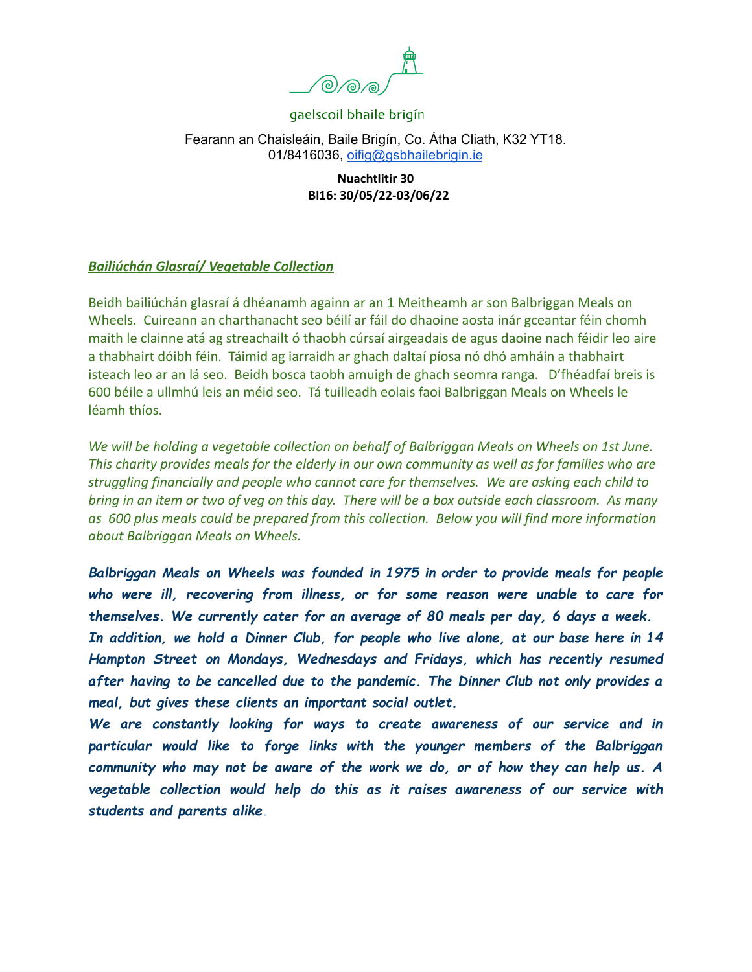

Fearann an Chaisleáin, Baile Brigín, Co. Átha Cliath, K32 YT18. 01/8416036, [oifig@gsbhailebrigin.ie](mailto:oifig@gsbhailebrigin.ie)

> **Nuachtlitir 30 Bl16: 30/05/22-03/06/22**

#### *Bailiúchán Glasraí/ Vegetable Collection*

Beidh bailiúchán glasraí á dhéanamh againn ar an 1 Meitheamh ar son Balbriggan Meals on Wheels. Cuireann an charthanacht seo béilí ar fáil do dhaoine aosta inár gceantar féin chomh maith le clainne atá ag streachailt ó thaobh cúrsaí airgeadais de agus daoine nach féidir leo aire a thabhairt dóibh féin. Táimid ag iarraidh ar ghach daltaí píosa nó dhó amháin a thabhairt isteach leo ar an lá seo. Beidh bosca taobh amuigh de ghach seomra ranga. D'fhéadfaí breis is 600 béile a ullmhú leis an méid seo. Tá tuilleadh eolais faoi Balbriggan Meals on Wheels le léamh thíos.

*We will be holding a vegetable collection on behalf of Balbriggan Meals on Wheels on 1st June. This charity provides meals for the elderly in our own community as well as for families who are struggling financially and people who cannot care for themselves. We are asking each child to bring in an item or two of veg on this day. There will be a box outside each classroom. As many as 600 plus meals could be prepared from this collection. Below you will find more information about Balbriggan Meals on Wheels.*

*Balbriggan Meals on Wheels was founded in 1975 in order to provide meals for people who were ill, recovering from illness, or for some reason were unable to care for themselves. We currently cater for an average of 80 meals per day, 6 days a week. In addition, we hold a Dinner Club, for people who live alone, at our base here in 14 Hampton Street on Mondays, Wednesdays and Fridays, which has recently resumed after having to be cancelled due to the pandemic. The Dinner Club not only provides a meal, but gives these clients an important social outlet.*

*We are constantly looking for ways to create awareness of our service and in particular would like to forge links with the younger members of the Balbriggan community who may not be aware of the work we do, or of how they can help us. A vegetable collection would help do this as it raises awareness of our service with students and parents alike.*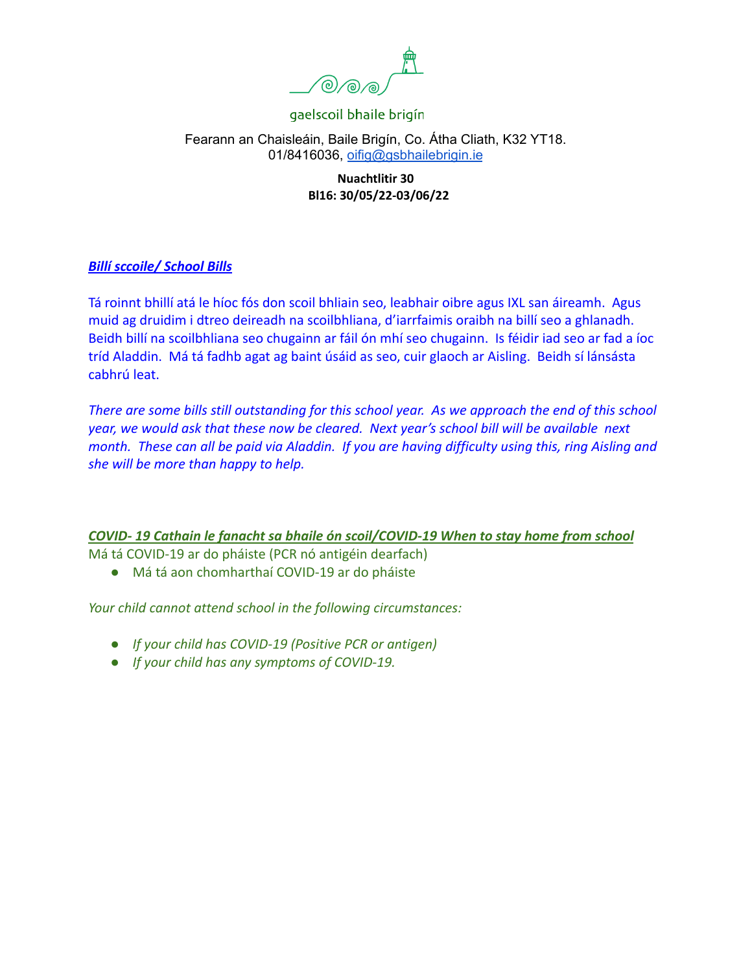

## Fearann an Chaisleáin, Baile Brigín, Co. Átha Cliath, K32 YT18. 01/8416036, [oifig@gsbhailebrigin.ie](mailto:oifig@gsbhailebrigin.ie)

### **Nuachtlitir 30 Bl16: 30/05/22-03/06/22**

## *Billí sccoile/ School Bills*

Tá roinnt bhillí atá le híoc fós don scoil bhliain seo, leabhair oibre agus IXL san áireamh. Agus muid ag druidim i dtreo deireadh na scoilbhliana, d'iarrfaimis oraibh na billí seo a ghlanadh. Beidh billí na scoilbhliana seo chugainn ar fáil ón mhí seo chugainn. Is féidir iad seo ar fad a íoc tríd Aladdin. Má tá fadhb agat ag baint úsáid as seo, cuir glaoch ar Aisling. Beidh sí lánsásta cabhrú leat.

*There are some bills still outstanding for this school year. As we approach the end of this school year, we would ask that these now be cleared. Next year's school bill will be available next month. These can all be paid via Aladdin. If you are having difficulty using this, ring Aisling and she will be more than happy to help.*

## *COVID- 19 Cathain le fanacht sa bhaile ón scoil/COVID-19 When to stay home from school*

Má tá COVID-19 ar do pháiste (PCR nó antigéin dearfach)

● Má tá aon chomharthaí COVID-19 ar do pháiste

*Your child cannot attend school in the following circumstances:*

- *● If your child has COVID-19 (Positive PCR or antigen)*
- *● If your child has any symptoms of COVID-19.*